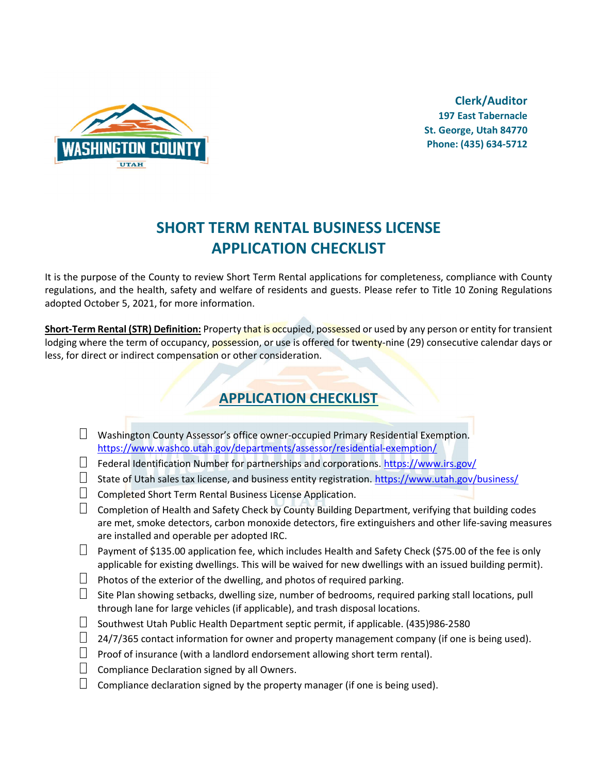

Clerk/Auditor 197 East Tabernacle St. George, Utah 84770 Phone: (435) 634-5712

# SHORT TERM RENTAL BUSINESS LICENSE APPLICATION CHECKLIST

It is the purpose of the County to review Short Term Rental applications for completeness, compliance with County regulations, and the health, safety and welfare of residents and guests. Please refer to Title 10 Zoning Regulations adopted October 5, 2021, for more information.

Short-Term Rental (STR) Definition: Property that is occupied, possessed or used by any person or entity for transient lodging where the term of occupancy, possession, or use is offered for twenty-nine (29) consecutive calendar days or less, for direct or indirect compensation or other consideration.

### APPLICATION CHECKLIST

- $\Box$  Washington County Assessor's office owner-occupied Primary Residential Exemption. https://www.washco.utah.gov/departments/assessor/residential-exemption/
- $\Box$  Federal Identification Number for partnerships and corporations. https://www.irs.gov/
- $\square$  State of Utah sales tax license, and business entity registration. https://www.utah.gov/business/
- $\Box$  Completed Short Term Rental Business License Application.
- $\Box$  Completion of Health and Safety Check by County Building Department, verifying that building codes are met, smoke detectors, carbon monoxide detectors, fire extinguishers and other life-saving measures are installed and operable per adopted IRC.
- $\Box$  Payment of \$135.00 application fee, which includes Health and Safety Check (\$75.00 of the fee is only applicable for existing dwellings. This will be waived for new dwellings with an issued building permit).
- $\Box$  Photos of the exterior of the dwelling, and photos of required parking.
- $\Box$  Site Plan showing setbacks, dwelling size, number of bedrooms, required parking stall locations, pull through lane for large vehicles (if applicable), and trash disposal locations.
- $\Box$  Southwest Utah Public Health Department septic permit, if applicable. (435)986-2580
- $\Box$  24/7/365 contact information for owner and property management company (if one is being used).
- $\Box$  Proof of insurance (with a landlord endorsement allowing short term rental).
- $\Box$  Compliance Declaration signed by all Owners.
- $\Box$  Compliance declaration signed by the property manager (if one is being used).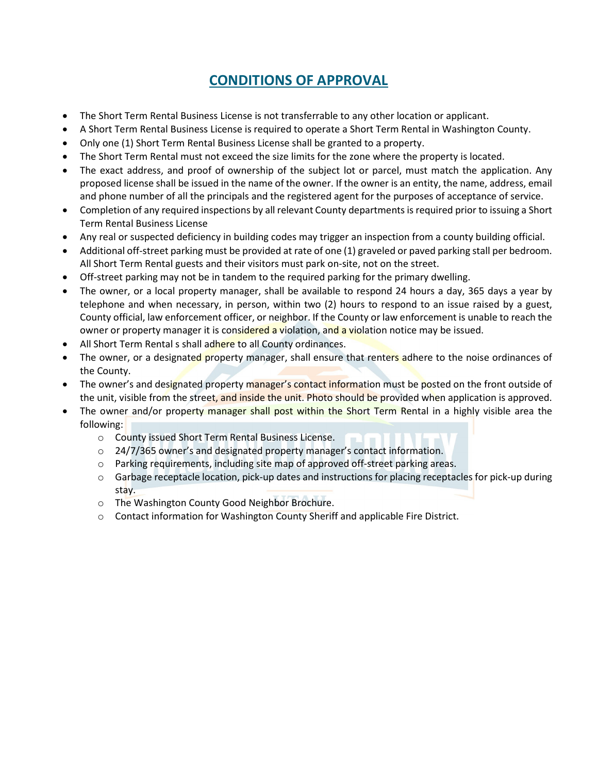#### CONDITIONS OF APPROVAL

- The Short Term Rental Business License is not transferrable to any other location or applicant.
- A Short Term Rental Business License is required to operate a Short Term Rental in Washington County.
- Only one (1) Short Term Rental Business License shall be granted to a property.
- The Short Term Rental must not exceed the size limits for the zone where the property is located.
- The exact address, and proof of ownership of the subject lot or parcel, must match the application. Any proposed license shall be issued in the name of the owner. If the owner is an entity, the name, address, email and phone number of all the principals and the registered agent for the purposes of acceptance of service.
- Completion of any required inspections by all relevant County departments is required prior to issuing a Short Term Rental Business License
- Any real or suspected deficiency in building codes may trigger an inspection from a county building official.
- Additional off-street parking must be provided at rate of one (1) graveled or paved parking stall per bedroom. All Short Term Rental guests and their visitors must park on-site, not on the street.
- Off-street parking may not be in tandem to the required parking for the primary dwelling.
- The owner, or a local property manager, shall be available to respond 24 hours a day, 365 days a year by telephone and when necessary, in person, within two (2) hours to respond to an issue raised by a guest, County official, law enforcement officer, or neighbor. If the County or law enforcement is unable to reach the owner or property manager it is considered a violation, and a violation notice may be issued.
- All Short Term Rental s shall adhere to all County ordinances.
- The owner, or a designated property manager, shall ensure that renters adhere to the noise ordinances of the County.
- The owner's and designated property manager's contact information must be posted on the front outside of the unit, visible from the street, and inside the unit. Photo should be provided when application is approved.
- The owner and/or property manager shall post within the Short Term Rental in a highly visible area the following:
	- o County issued Short Term Rental Business License.
	- o 24/7/365 owner's and designated property manager's contact information.
	- o Parking requirements, including site map of approved off-street parking areas.
	- o Garbage receptacle location, pick-up dates and instructions for placing receptacles for pick-up during stay.
	- o The Washington County Good Neighbor Brochure.
	- $\circ$  Contact information for Washington County Sheriff and applicable Fire District.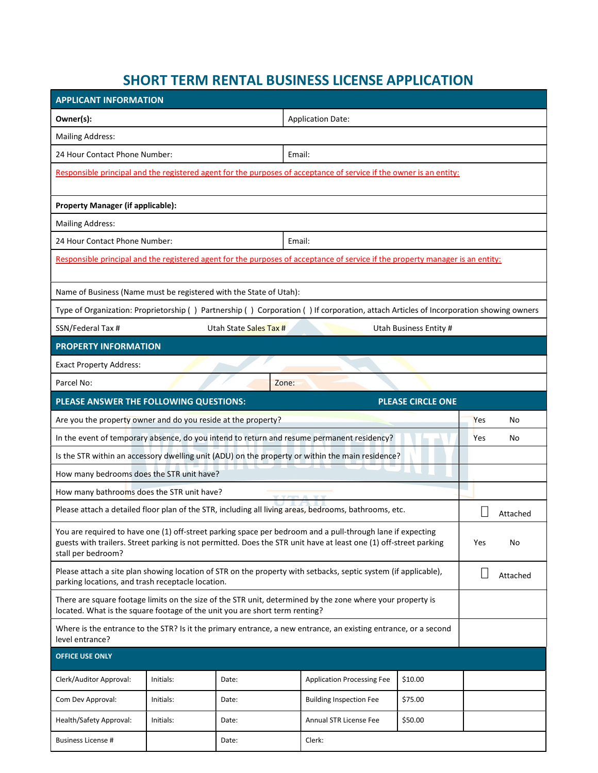#### SHORT TERM RENTAL BUSINESS LICENSE APPLICATION

| <b>APPLICANT INFORMATION</b>                                                                                                                                                                                                                          |                 |       |          |                                                                                                  |         |  |  |  |  |  |  |  |
|-------------------------------------------------------------------------------------------------------------------------------------------------------------------------------------------------------------------------------------------------------|-----------------|-------|----------|--------------------------------------------------------------------------------------------------|---------|--|--|--|--|--|--|--|
| Owner(s):                                                                                                                                                                                                                                             |                 |       |          |                                                                                                  |         |  |  |  |  |  |  |  |
| <b>Mailing Address:</b>                                                                                                                                                                                                                               |                 |       |          |                                                                                                  |         |  |  |  |  |  |  |  |
| 24 Hour Contact Phone Number:<br>Email:                                                                                                                                                                                                               |                 |       |          |                                                                                                  |         |  |  |  |  |  |  |  |
| Responsible principal and the registered agent for the purposes of acceptance of service if the owner is an entity:                                                                                                                                   |                 |       |          |                                                                                                  |         |  |  |  |  |  |  |  |
| <b>Property Manager (if applicable):</b>                                                                                                                                                                                                              |                 |       |          |                                                                                                  |         |  |  |  |  |  |  |  |
| <b>Mailing Address:</b>                                                                                                                                                                                                                               |                 |       |          |                                                                                                  |         |  |  |  |  |  |  |  |
| 24 Hour Contact Phone Number:                                                                                                                                                                                                                         |                 |       |          |                                                                                                  |         |  |  |  |  |  |  |  |
| Responsible principal and the registered agent for the purposes of acceptance of service if the property manager is an entity:                                                                                                                        |                 |       |          |                                                                                                  |         |  |  |  |  |  |  |  |
| Name of Business (Name must be registered with the State of Utah):                                                                                                                                                                                    |                 |       |          |                                                                                                  |         |  |  |  |  |  |  |  |
| Type of Organization: Proprietorship () Partnership () Corporation () If corporation, attach Articles of Incorporation showing owners                                                                                                                 |                 |       |          |                                                                                                  |         |  |  |  |  |  |  |  |
| SSN/Federal Tax #<br>Utah State Sales Tax #<br>Utah Business Entity #                                                                                                                                                                                 |                 |       |          |                                                                                                  |         |  |  |  |  |  |  |  |
| <b>PROPERTY INFORMATION</b>                                                                                                                                                                                                                           |                 |       |          |                                                                                                  |         |  |  |  |  |  |  |  |
| <b>Exact Property Address:</b>                                                                                                                                                                                                                        |                 |       |          |                                                                                                  |         |  |  |  |  |  |  |  |
| Parcel No:<br>Zone:                                                                                                                                                                                                                                   |                 |       |          |                                                                                                  |         |  |  |  |  |  |  |  |
| PLEASE ANSWER THE FOLLOWING QUESTIONS:<br><b>PLEASE CIRCLE ONE</b>                                                                                                                                                                                    |                 |       |          |                                                                                                  |         |  |  |  |  |  |  |  |
| Are you the property owner and do you reside at the property?                                                                                                                                                                                         | Yes             | No    |          |                                                                                                  |         |  |  |  |  |  |  |  |
| In the event of temporary absence, do you intend to return and resume permanent residency?                                                                                                                                                            | Yes             | No    |          |                                                                                                  |         |  |  |  |  |  |  |  |
|                                                                                                                                                                                                                                                       |                 |       |          | Is the STR within an accessory dwelling unit (ADU) on the property or within the main residence? |         |  |  |  |  |  |  |  |
| How many bedrooms does the STR unit have?                                                                                                                                                                                                             |                 |       |          |                                                                                                  |         |  |  |  |  |  |  |  |
| How many bathrooms does the STR unit have?                                                                                                                                                                                                            |                 |       |          |                                                                                                  |         |  |  |  |  |  |  |  |
| Please attach a detailed floor plan of the STR, including all living areas, bedrooms, bathrooms, etc.                                                                                                                                                 |                 |       | Attached |                                                                                                  |         |  |  |  |  |  |  |  |
| You are required to have one (1) off-street parking space per bedroom and a pull-through lane if expecting<br>guests with trailers. Street parking is not permitted. Does the STR unit have at least one (1) off-street parking<br>stall per bedroom? |                 | Yes   | No       |                                                                                                  |         |  |  |  |  |  |  |  |
| Please attach a site plan showing location of STR on the property with setbacks, septic system (if applicable),<br>parking locations, and trash receptacle location.                                                                                  |                 |       | Attached |                                                                                                  |         |  |  |  |  |  |  |  |
| There are square footage limits on the size of the STR unit, determined by the zone where your property is<br>located. What is the square footage of the unit you are short term renting?                                                             |                 |       |          |                                                                                                  |         |  |  |  |  |  |  |  |
| Where is the entrance to the STR? Is it the primary entrance, a new entrance, an existing entrance, or a second<br>level entrance?                                                                                                                    |                 |       |          |                                                                                                  |         |  |  |  |  |  |  |  |
| <b>OFFICE USE ONLY</b>                                                                                                                                                                                                                                |                 |       |          |                                                                                                  |         |  |  |  |  |  |  |  |
| Clerk/Auditor Approval:                                                                                                                                                                                                                               | Initials:       | Date: |          | <b>Application Processing Fee</b>                                                                | \$10.00 |  |  |  |  |  |  |  |
| Com Dev Approval:                                                                                                                                                                                                                                     | Initials:       | Date: |          | <b>Building Inspection Fee</b>                                                                   | \$75.00 |  |  |  |  |  |  |  |
| Health/Safety Approval:                                                                                                                                                                                                                               | Initials:       | Date: |          | Annual STR License Fee                                                                           | \$50.00 |  |  |  |  |  |  |  |
| <b>Business License #</b>                                                                                                                                                                                                                             | Clerk:<br>Date: |       |          |                                                                                                  |         |  |  |  |  |  |  |  |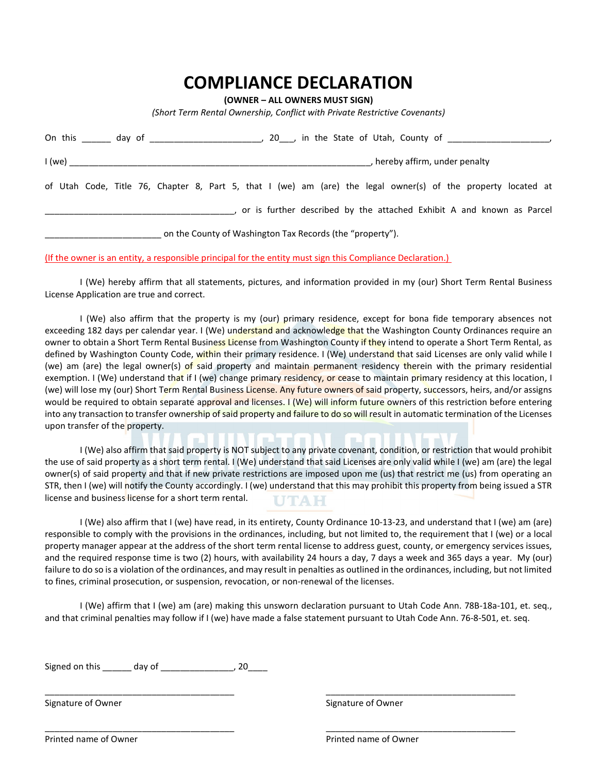## COMPLIANCE DECLARATION

(OWNER – ALL OWNERS MUST SIGN)

(Short Term Rental Ownership, Conflict with Private Restrictive Covenants)

|                                                           |                                                                       |  |  |  | On this day of the control of the control of the control of the control of the control of the control of the control of the control of the control of the control of the control of the control of the control of the control |  |  |  |  |  |  |  |  |  |  | 20, in the State of Utah, County of |  |  |
|-----------------------------------------------------------|-----------------------------------------------------------------------|--|--|--|-------------------------------------------------------------------------------------------------------------------------------------------------------------------------------------------------------------------------------|--|--|--|--|--|--|--|--|--|--|-------------------------------------|--|--|
| 1 (we)<br>hereby affirm, under penalty                    |                                                                       |  |  |  |                                                                                                                                                                                                                               |  |  |  |  |  |  |  |  |  |  |                                     |  |  |
|                                                           |                                                                       |  |  |  | of Utah Code, Title 76, Chapter 8, Part 5, that I (we) am (are) the legal owner(s) of the property located at                                                                                                                 |  |  |  |  |  |  |  |  |  |  |                                     |  |  |
|                                                           | or is further described by the attached Exhibit A and known as Parcel |  |  |  |                                                                                                                                                                                                                               |  |  |  |  |  |  |  |  |  |  |                                     |  |  |
| on the County of Washington Tax Records (the "property"). |                                                                       |  |  |  |                                                                                                                                                                                                                               |  |  |  |  |  |  |  |  |  |  |                                     |  |  |

(If the owner is an entity, a responsible principal for the entity must sign this Compliance Declaration.)

 I (We) hereby affirm that all statements, pictures, and information provided in my (our) Short Term Rental Business License Application are true and correct.

 I (We) also affirm that the property is my (our) primary residence, except for bona fide temporary absences not exceeding 182 days per calendar year. I (We) understand and acknowledge that the Washington County Ordinances require an owner to obtain a Short Term Rental Business License from Washington County if they intend to operate a Short Term Rental, as defined by Washington County Code, within their primary residence. I (We) understand that said Licenses are only valid while I (we) am (are) the legal owner(s) of said property and maintain permanent residency therein with the primary residential exemption. I (We) understand that if I (we) change primary residency, or cease to maintain primary residency at this location, I (we) will lose my (our) Short Term Rental Business License. Any future owners of said property, successors, heirs, and/or assigns would be required to obtain separate approval and licenses. I (We) will inform future owners of this restriction before entering into any transaction to transfer ownership of said property and failure to do so will result in automatic termination of the Licenses upon transfer of the property.

 I (We) also affirm that said property is NOT subject to any private covenant, condition, or restriction that would prohibit the use of said property as a short term rental. I (We) understand that said Licenses are only valid while I (we) am (are) the legal owner(s) of said property and that if new private restrictions are imposed upon me (us) that restrict me (us) from operating an STR, then I (we) will notify the County accordingly. I (we) understand that this may prohibit this property from being issued a STR license and business license for a short term rental. UTAH

I (We) also affirm that I (we) have read, in its entirety, County Ordinance 10-13-23, and understand that I (we) am (are) responsible to comply with the provisions in the ordinances, including, but not limited to, the requirement that I (we) or a local property manager appear at the address of the short term rental license to address guest, county, or emergency services issues, and the required response time is two (2) hours, with availability 24 hours a day, 7 days a week and 365 days a year. My (our) failure to do so is a violation of the ordinances, and may result in penalties as outlined in the ordinances, including, but not limited to fines, criminal prosecution, or suspension, revocation, or non-renewal of the licenses.

 I (We) affirm that I (we) am (are) making this unsworn declaration pursuant to Utah Code Ann. 78B-18a-101, et. seq., and that criminal penalties may follow if I (we) have made a false statement pursuant to Utah Code Ann. 76-8-501, et. seq.

\_\_\_\_\_\_\_\_\_\_\_\_\_\_\_\_\_\_\_\_\_\_\_\_\_\_\_\_\_\_\_\_\_\_\_\_\_\_\_ \_\_\_\_\_\_\_\_\_\_\_\_\_\_\_\_\_\_\_\_\_\_\_\_\_\_\_\_\_\_\_\_\_\_\_\_\_\_\_

\_\_\_\_\_\_\_\_\_\_\_\_\_\_\_\_\_\_\_\_\_\_\_\_\_\_\_\_\_\_\_\_\_\_\_\_\_\_\_ \_\_\_\_\_\_\_\_\_\_\_\_\_\_\_\_\_\_\_\_\_\_\_\_\_\_\_\_\_\_\_\_\_\_\_\_\_\_\_

Signed on this \_\_\_\_\_\_ day of \_\_\_\_\_\_\_\_\_\_\_\_\_\_, 20\_\_\_\_

Signature of Owner Signature of Owner Signature of Owner

Printed name of Owner **Prince and America** Printed name of Owner